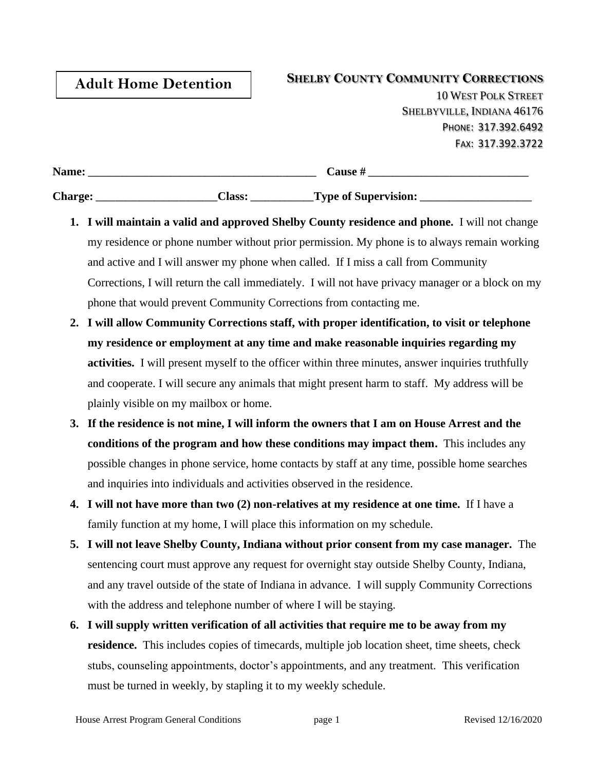## **Adult Home Detention**

## **SHELBY COUNTY COMMUNITY CORRECTIONS**

10 WEST POLK STREET SHELBYVILLE, INDIANA 46176 PHONE: 317.392.6492 FAX: 317.392.3722

| Name:          |               | <b>Cause #</b>              |
|----------------|---------------|-----------------------------|
| <b>Charge:</b> | <b>Class:</b> | <b>Type of Supervision:</b> |

- **1. I will maintain a valid and approved Shelby County residence and phone.** I will not change my residence or phone number without prior permission. My phone is to always remain working and active and I will answer my phone when called. If I miss a call from Community Corrections, I will return the call immediately. I will not have privacy manager or a block on my phone that would prevent Community Corrections from contacting me.
- **2. I will allow Community Corrections staff, with proper identification, to visit or telephone my residence or employment at any time and make reasonable inquiries regarding my activities.** I will present myself to the officer within three minutes, answer inquiries truthfully and cooperate. I will secure any animals that might present harm to staff. My address will be plainly visible on my mailbox or home.
- **3. If the residence is not mine, I will inform the owners that I am on House Arrest and the conditions of the program and how these conditions may impact them.** This includes any possible changes in phone service, home contacts by staff at any time, possible home searches and inquiries into individuals and activities observed in the residence.
- **4. I will not have more than two (2) non-relatives at my residence at one time.** If I have a family function at my home, I will place this information on my schedule.
- **5. I will not leave Shelby County, Indiana without prior consent from my case manager.** The sentencing court must approve any request for overnight stay outside Shelby County, Indiana, and any travel outside of the state of Indiana in advance. I will supply Community Corrections with the address and telephone number of where I will be staying.
- **6. I will supply written verification of all activities that require me to be away from my residence.** This includes copies of timecards, multiple job location sheet, time sheets, check stubs, counseling appointments, doctor's appointments, and any treatment. This verification must be turned in weekly, by stapling it to my weekly schedule.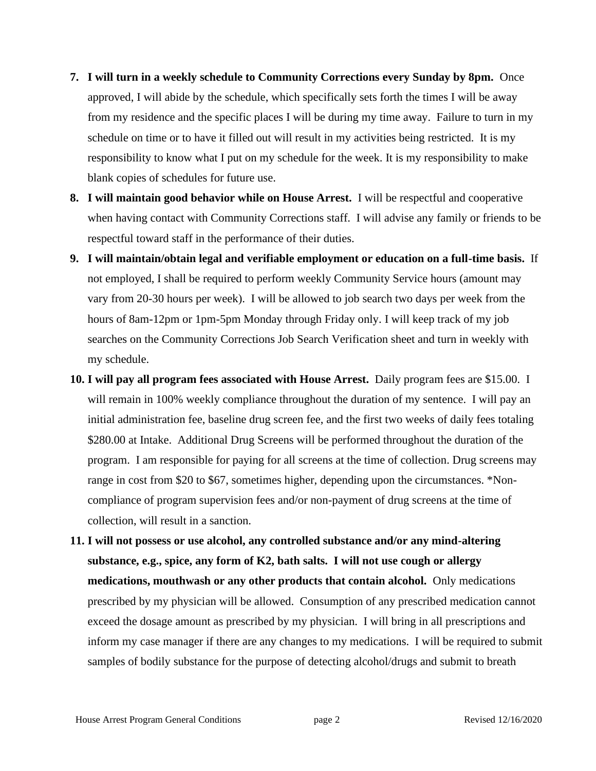- **7. I will turn in a weekly schedule to Community Corrections every Sunday by 8pm.** Once approved, I will abide by the schedule, which specifically sets forth the times I will be away from my residence and the specific places I will be during my time away. Failure to turn in my schedule on time or to have it filled out will result in my activities being restricted. It is my responsibility to know what I put on my schedule for the week. It is my responsibility to make blank copies of schedules for future use.
- **8. I will maintain good behavior while on House Arrest.** I will be respectful and cooperative when having contact with Community Corrections staff. I will advise any family or friends to be respectful toward staff in the performance of their duties.
- **9. I will maintain/obtain legal and verifiable employment or education on a full-time basis.** If not employed, I shall be required to perform weekly Community Service hours (amount may vary from 20-30 hours per week). I will be allowed to job search two days per week from the hours of 8am-12pm or 1pm-5pm Monday through Friday only. I will keep track of my job searches on the Community Corrections Job Search Verification sheet and turn in weekly with my schedule.
- **10. I will pay all program fees associated with House Arrest.** Daily program fees are \$15.00. I will remain in 100% weekly compliance throughout the duration of my sentence. I will pay an initial administration fee, baseline drug screen fee, and the first two weeks of daily fees totaling \$280.00 at Intake. Additional Drug Screens will be performed throughout the duration of the program. I am responsible for paying for all screens at the time of collection. Drug screens may range in cost from \$20 to \$67, sometimes higher, depending upon the circumstances. \*Noncompliance of program supervision fees and/or non-payment of drug screens at the time of collection, will result in a sanction.
- **11. I will not possess or use alcohol, any controlled substance and/or any mind-altering substance, e.g., spice, any form of K2, bath salts. I will not use cough or allergy medications, mouthwash or any other products that contain alcohol.** Only medications prescribed by my physician will be allowed. Consumption of any prescribed medication cannot exceed the dosage amount as prescribed by my physician. I will bring in all prescriptions and inform my case manager if there are any changes to my medications. I will be required to submit samples of bodily substance for the purpose of detecting alcohol/drugs and submit to breath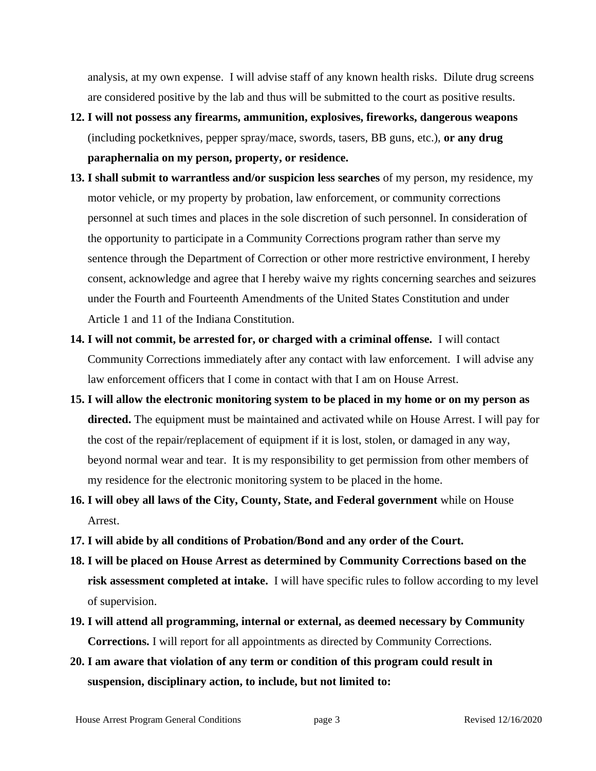analysis, at my own expense. I will advise staff of any known health risks. Dilute drug screens are considered positive by the lab and thus will be submitted to the court as positive results.

- **12. I will not possess any firearms, ammunition, explosives, fireworks, dangerous weapons**  (including pocketknives, pepper spray/mace, swords, tasers, BB guns, etc.), **or any drug paraphernalia on my person, property, or residence.**
- **13. I shall submit to warrantless and/or suspicion less searches** of my person, my residence, my motor vehicle, or my property by probation, law enforcement, or community corrections personnel at such times and places in the sole discretion of such personnel. In consideration of the opportunity to participate in a Community Corrections program rather than serve my sentence through the Department of Correction or other more restrictive environment, I hereby consent, acknowledge and agree that I hereby waive my rights concerning searches and seizures under the Fourth and Fourteenth Amendments of the United States Constitution and under Article 1 and 11 of the Indiana Constitution.
- **14. I will not commit, be arrested for, or charged with a criminal offense.** I will contact Community Corrections immediately after any contact with law enforcement. I will advise any law enforcement officers that I come in contact with that I am on House Arrest.
- **15. I will allow the electronic monitoring system to be placed in my home or on my person as directed.** The equipment must be maintained and activated while on House Arrest. I will pay for the cost of the repair/replacement of equipment if it is lost, stolen, or damaged in any way, beyond normal wear and tear. It is my responsibility to get permission from other members of my residence for the electronic monitoring system to be placed in the home.
- **16. I will obey all laws of the City, County, State, and Federal government** while on House Arrest.
- **17. I will abide by all conditions of Probation/Bond and any order of the Court.**
- **18. I will be placed on House Arrest as determined by Community Corrections based on the risk assessment completed at intake.** I will have specific rules to follow according to my level of supervision.
- **19. I will attend all programming, internal or external, as deemed necessary by Community Corrections.** I will report for all appointments as directed by Community Corrections.
- **20. I am aware that violation of any term or condition of this program could result in suspension, disciplinary action, to include, but not limited to:**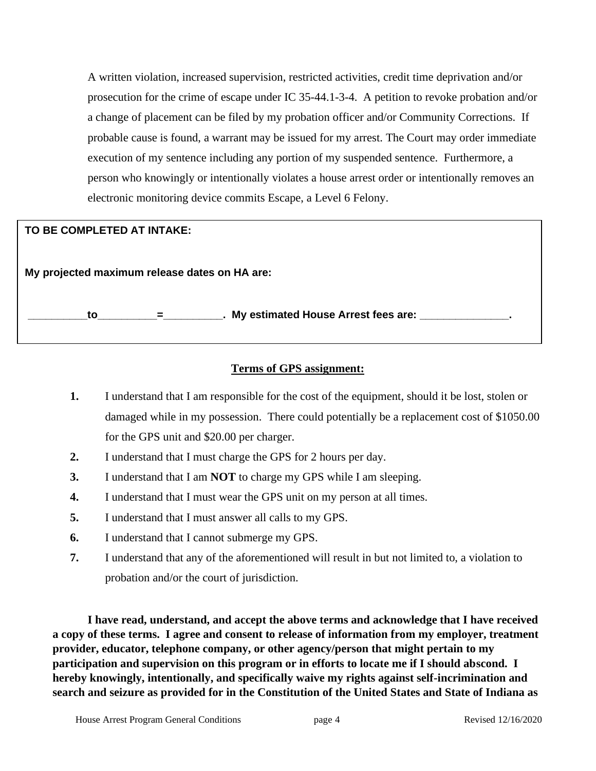A written violation, increased supervision, restricted activities, credit time deprivation and/or prosecution for the crime of escape under IC 35-44.1-3-4. A petition to revoke probation and/or a change of placement can be filed by my probation officer and/or Community Corrections. If probable cause is found, a warrant may be issued for my arrest. The Court may order immediate execution of my sentence including any portion of my suspended sentence. Furthermore, a person who knowingly or intentionally violates a house arrest order or intentionally removes an electronic monitoring device commits Escape, a Level 6 Felony.

## **TO BE COMPLETED AT INTAKE:**

**My projected maximum release dates on HA are: \_\_\_\_\_\_\_\_\_\_to\_\_\_\_\_\_\_\_\_\_=\_\_\_\_\_\_\_\_\_\_. My estimated House Arrest fees are: \_\_\_\_\_\_\_\_\_\_\_\_\_\_\_.** 

## **Terms of GPS assignment:**

- **1.** I understand that I am responsible for the cost of the equipment, should it be lost, stolen or damaged while in my possession. There could potentially be a replacement cost of \$1050.00 for the GPS unit and \$20.00 per charger.
- **2.** I understand that I must charge the GPS for 2 hours per day.
- **3.** I understand that I am **NOT** to charge my GPS while I am sleeping.
- **4.** I understand that I must wear the GPS unit on my person at all times.
- **5.** I understand that I must answer all calls to my GPS.
- **6.** I understand that I cannot submerge my GPS.
- **7.** I understand that any of the aforementioned will result in but not limited to, a violation to probation and/or the court of jurisdiction.

**I have read, understand, and accept the above terms and acknowledge that I have received a copy of these terms. I agree and consent to release of information from my employer, treatment provider, educator, telephone company, or other agency/person that might pertain to my participation and supervision on this program or in efforts to locate me if I should abscond. I hereby knowingly, intentionally, and specifically waive my rights against self-incrimination and search and seizure as provided for in the Constitution of the United States and State of Indiana as**